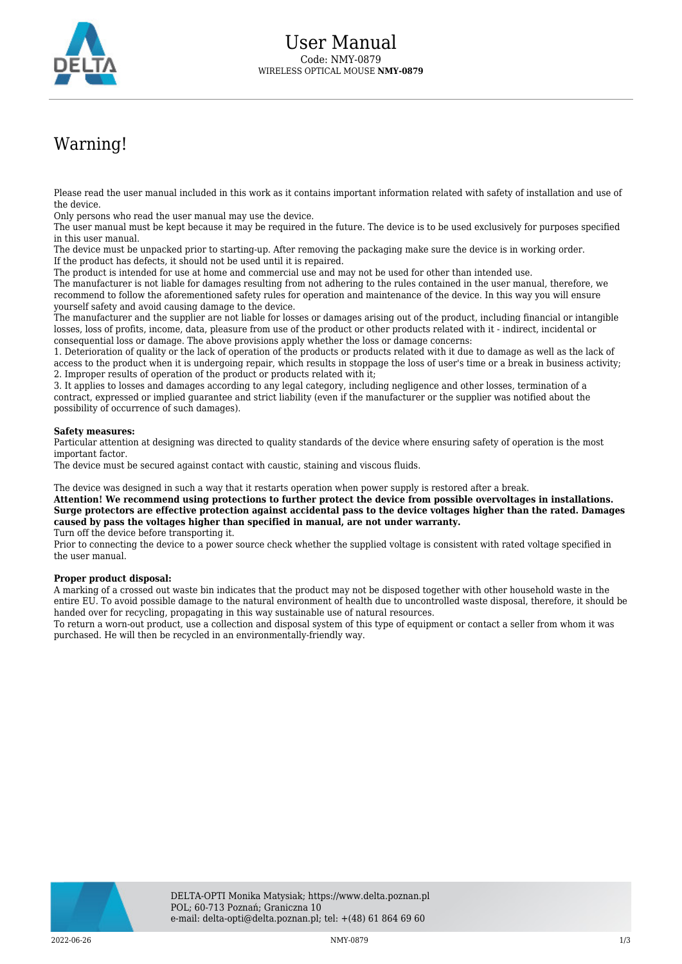

## Warning!

Please read the user manual included in this work as it contains important information related with safety of installation and use of the device.

Only persons who read the user manual may use the device.

The user manual must be kept because it may be required in the future. The device is to be used exclusively for purposes specified in this user manual.

The device must be unpacked prior to starting-up. After removing the packaging make sure the device is in working order. If the product has defects, it should not be used until it is repaired.

The product is intended for use at home and commercial use and may not be used for other than intended use.

The manufacturer is not liable for damages resulting from not adhering to the rules contained in the user manual, therefore, we recommend to follow the aforementioned safety rules for operation and maintenance of the device. In this way you will ensure yourself safety and avoid causing damage to the device.

The manufacturer and the supplier are not liable for losses or damages arising out of the product, including financial or intangible losses, loss of profits, income, data, pleasure from use of the product or other products related with it - indirect, incidental or consequential loss or damage. The above provisions apply whether the loss or damage concerns:

1. Deterioration of quality or the lack of operation of the products or products related with it due to damage as well as the lack of access to the product when it is undergoing repair, which results in stoppage the loss of user's time or a break in business activity; 2. Improper results of operation of the product or products related with it;

3. It applies to losses and damages according to any legal category, including negligence and other losses, termination of a contract, expressed or implied guarantee and strict liability (even if the manufacturer or the supplier was notified about the possibility of occurrence of such damages).

## **Safety measures:**

Particular attention at designing was directed to quality standards of the device where ensuring safety of operation is the most important factor.

The device must be secured against contact with caustic, staining and viscous fluids.

The device was designed in such a way that it restarts operation when power supply is restored after a break.

**Attention! We recommend using protections to further protect the device from possible overvoltages in installations. Surge protectors are effective protection against accidental pass to the device voltages higher than the rated. Damages caused by pass the voltages higher than specified in manual, are not under warranty.**

Turn off the device before transporting it.

Prior to connecting the device to a power source check whether the supplied voltage is consistent with rated voltage specified in the user manual.

## **Proper product disposal:**

A marking of a crossed out waste bin indicates that the product may not be disposed together with other household waste in the entire EU. To avoid possible damage to the natural environment of health due to uncontrolled waste disposal, therefore, it should be handed over for recycling, propagating in this way sustainable use of natural resources.

To return a worn-out product, use a collection and disposal system of this type of equipment or contact a seller from whom it was purchased. He will then be recycled in an environmentally-friendly way.

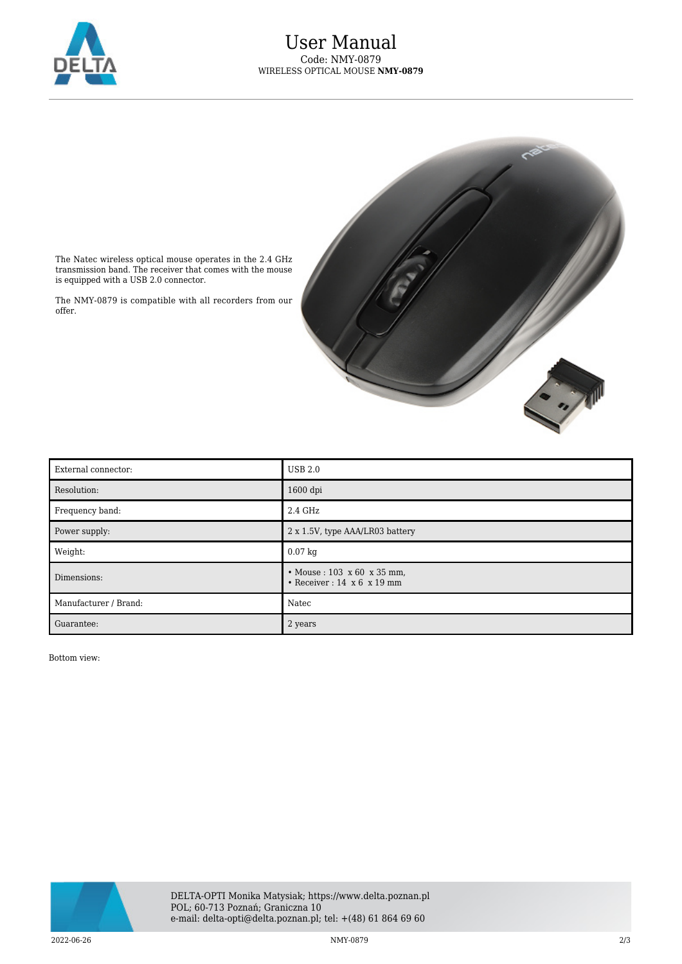



The Natec wireless optical mouse operates in the 2.4 GHz transmission band. The receiver that comes with the mouse is equipped with a USB 2.0 connector.

The NMY-0879 is compatible with all recorders from our offer.

| External connector:   | <b>USB 2.0</b>                                                                   |
|-----------------------|----------------------------------------------------------------------------------|
| Resolution:           | $1600$ dpi                                                                       |
| Frequency band:       | 2.4 GHz                                                                          |
| Power supply:         | 2 x 1.5V, type AAA/LR03 battery                                                  |
| Weight:               | $0.07$ kg                                                                        |
| Dimensions:           | • Mouse: $103 \times 60 \times 35$ mm,<br>• Receiver: $14 \times 6 \times 19$ mm |
| Manufacturer / Brand: | Natec                                                                            |
| Guarantee:            | 2 years                                                                          |

Bottom view: